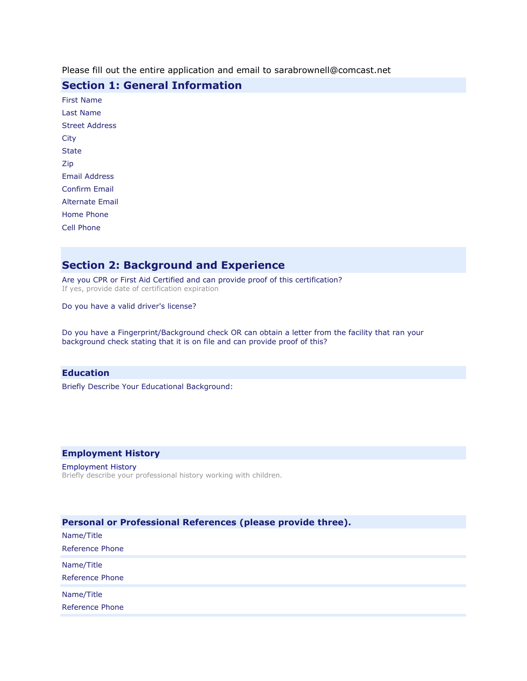Please fill out the entire application and email to sarabrownell@comcast.net

## **Section 1: General Information**

# **Section 2: Background and Experience**

Are you CPR or First Aid Certified and can provide proof of this certification? If yes, provide date of certification expiration

Do you have a valid driver's license?

Do you have a Fingerprint/Background check OR can obtain a letter from the facility that ran your background check stating that it is on file and can provide proof of this?

#### **Education**

Briefly Describe Your Educational Background:

### **Employment History**

#### Employment History Briefly describe your professional history working with children.

| Personal or Professional References (please provide three). |  |  |
|-------------------------------------------------------------|--|--|
| Name/Title                                                  |  |  |
| Reference Phone                                             |  |  |
| Name/Title                                                  |  |  |
| Reference Phone                                             |  |  |
| Name/Title                                                  |  |  |
| Reference Phone                                             |  |  |
|                                                             |  |  |